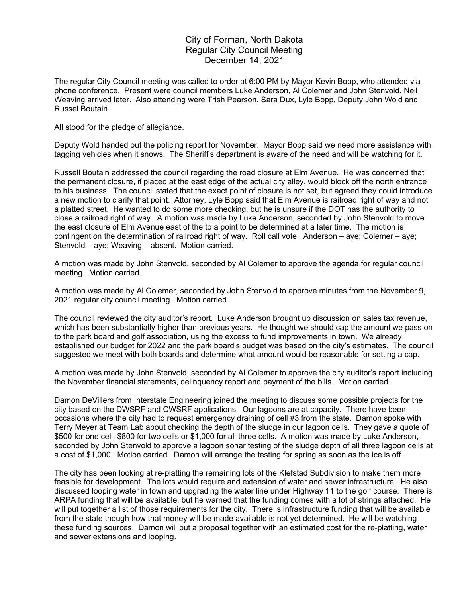## City of Forman, North Dakota Regular City Council Meeting December 14, 2021

The regular City Council meeting was called to order at 6:00 PM by Mayor Kevin Bopp, who attended via phone conference. Present were council members Luke Anderson, Al Colemer and John Stenvold. Neil Weaving arrived later. Also attending were Trish Pearson, Sara Dux, Lyle Bopp, Deputy John Wold and Russel Boutain.

All stood for the pledge of allegiance.

Deputy Wold handed out the policing report for November. Mayor Bopp said we need more assistance with tagging vehicles when it snows. The Sheriff's department is aware of the need and will be watching for it.

Russell Boutain addressed the council regarding the road closure at Elm Avenue. He was concerned that the permanent closure, if placed at the east edge of the actual city alley, would block off the north entrance to his business. The council stated that the exact point of closure is not set, but agreed they could introduce a new motion to clarify that point. Attorney, Lyle Bopp said that Elm Avenue is railroad right of way and not a platted street. He wanted to do some more checking, but he is unsure if the DOT has the authority to close a railroad right of way. A motion was made by Luke Anderson, seconded by John Stenvold to move the east closure of Elm Avenue east of the to a point to be determined at a later time. The motion is contingent on the determination of railroad right of way. Roll call vote: Anderson – aye; Colemer – aye; Stenvold – aye; Weaving – absent. Motion carried.

A motion was made by John Stenvold, seconded by Al Colemer to approve the agenda for regular council meeting. Motion carried.

A motion was made by Al Colemer, seconded by John Stenvold to approve minutes from the November 9, 2021 regular city council meeting. Motion carried.

The council reviewed the city auditor's report. Luke Anderson brought up discussion on sales tax revenue, which has been substantially higher than previous years. He thought we should cap the amount we pass on to the park board and golf association, using the excess to fund improvements in town. We already established our budget for 2022 and the park board's budget was based on the city's estimates. The council suggested we meet with both boards and determine what amount would be reasonable for setting a cap.

A motion was made by John Stenvold, seconded by Al Colemer to approve the city auditor's report including the November financial statements, delinquency report and payment of the bills. Motion carried.

Damon DeVillers from Interstate Engineering joined the meeting to discuss some possible projects for the city based on the DWSRF and CWSRF applications. Our lagoons are at capacity. There have been occasions where the city had to request emergency draining of cell #3 from the state. Damon spoke with Terry Meyer at Team Lab about checking the depth of the sludge in our lagoon cells. They gave a quote of \$500 for one cell, \$800 for two cells or \$1,000 for all three cells. A motion was made by Luke Anderson, seconded by John Stenvold to approve a lagoon sonar testing of the sludge depth of all three lagoon cells at a cost of \$1,000. Motion carried. Damon will arrange the testing for spring as soon as the ice is off.

The city has been looking at re-platting the remaining lots of the Klefstad Subdivision to make them more feasible for development. The lots would require and extension of water and sewer infrastructure. He also discussed looping water in town and upgrading the water line under Highway 11 to the golf course. There is ARPA funding that will be available, but he warned that the funding comes with a lot of strings attached. He will put together a list of those requirements for the city. There is infrastructure funding that will be available from the state though how that money will be made available is not yet determined. He will be watching these funding sources. Damon will put a proposal together with an estimated cost for the re-platting, water and sewer extensions and looping.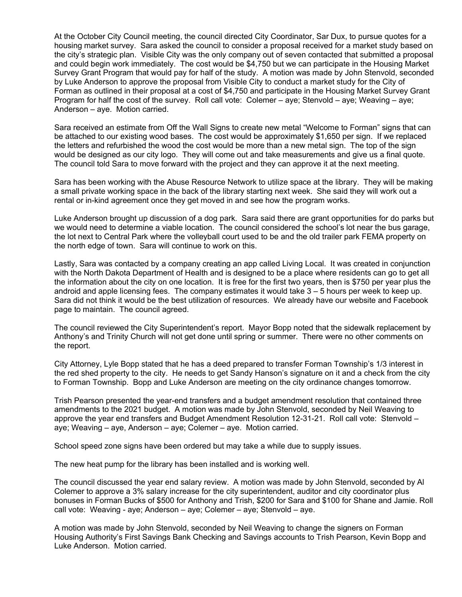At the October City Council meeting, the council directed City Coordinator, Sar Dux, to pursue quotes for a housing market survey. Sara asked the council to consider a proposal received for a market study based on the city's strategic plan. Visible City was the only company out of seven contacted that submitted a proposal and could begin work immediately. The cost would be \$4,750 but we can participate in the Housing Market Survey Grant Program that would pay for half of the study. A motion was made by John Stenvold, seconded by Luke Anderson to approve the proposal from Visible City to conduct a market study for the City of Forman as outlined in their proposal at a cost of \$4,750 and participate in the Housing Market Survey Grant Program for half the cost of the survey. Roll call vote: Colemer – aye; Stenvold – aye; Weaving – aye; Anderson – aye. Motion carried.

Sara received an estimate from Off the Wall Signs to create new metal "Welcome to Forman" signs that can be attached to our existing wood bases. The cost would be approximately \$1,650 per sign. If we replaced the letters and refurbished the wood the cost would be more than a new metal sign. The top of the sign would be designed as our city logo. They will come out and take measurements and give us a final quote. The council told Sara to move forward with the project and they can approve it at the next meeting.

Sara has been working with the Abuse Resource Network to utilize space at the library. They will be making a small private working space in the back of the library starting next week. She said they will work out a rental or in-kind agreement once they get moved in and see how the program works.

Luke Anderson brought up discussion of a dog park. Sara said there are grant opportunities for do parks but we would need to determine a viable location. The council considered the school's lot near the bus garage, the lot next to Central Park where the volleyball court used to be and the old trailer park FEMA property on the north edge of town. Sara will continue to work on this.

Lastly, Sara was contacted by a company creating an app called Living Local. It was created in conjunction with the North Dakota Department of Health and is designed to be a place where residents can go to get all the information about the city on one location. It is free for the first two years, then is \$750 per year plus the android and apple licensing fees. The company estimates it would take  $3 - 5$  hours per week to keep up. Sara did not think it would be the best utilization of resources. We already have our website and Facebook page to maintain. The council agreed.

The council reviewed the City Superintendent's report. Mayor Bopp noted that the sidewalk replacement by Anthony's and Trinity Church will not get done until spring or summer. There were no other comments on the report.

City Attorney, Lyle Bopp stated that he has a deed prepared to transfer Forman Township's 1/3 interest in the red shed property to the city. He needs to get Sandy Hanson's signature on it and a check from the city to Forman Township. Bopp and Luke Anderson are meeting on the city ordinance changes tomorrow.

Trish Pearson presented the year-end transfers and a budget amendment resolution that contained three amendments to the 2021 budget. A motion was made by John Stenvold, seconded by Neil Weaving to approve the year end transfers and Budget Amendment Resolution 12-31-21. Roll call vote: Stenvold – aye; Weaving – aye, Anderson – aye; Colemer – aye. Motion carried.

School speed zone signs have been ordered but may take a while due to supply issues.

The new heat pump for the library has been installed and is working well.

The council discussed the year end salary review. A motion was made by John Stenvold, seconded by Al Colemer to approve a 3% salary increase for the city superintendent, auditor and city coordinator plus bonuses in Forman Bucks of \$500 for Anthony and Trish, \$200 for Sara and \$100 for Shane and Jamie. Roll call vote: Weaving - aye; Anderson – aye; Colemer – aye; Stenvold – aye.

A motion was made by John Stenvold, seconded by Neil Weaving to change the signers on Forman Housing Authority's First Savings Bank Checking and Savings accounts to Trish Pearson, Kevin Bopp and Luke Anderson. Motion carried.